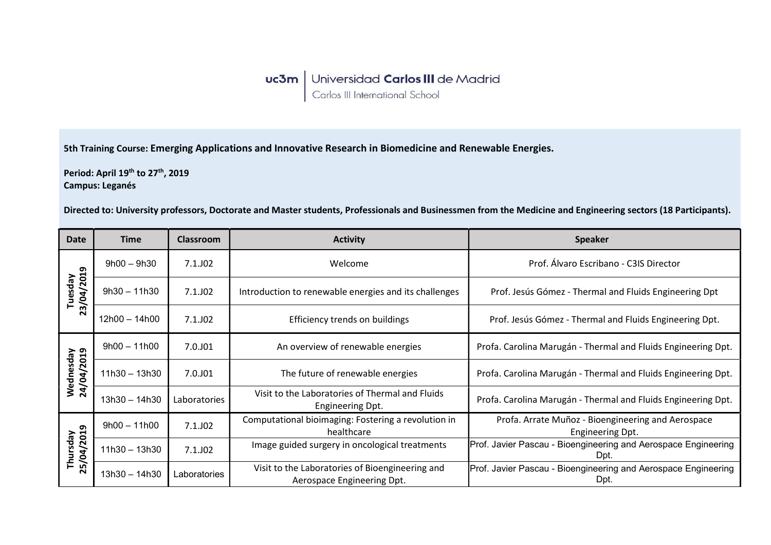5th Training Course: Emerging Applications and Innovative Research in Biomedicine and Renewable Energies.

Period: April 19<sup>th</sup> to 27<sup>th</sup>, 2019 Campus: Leganés

Directed to: University professors, Doctorate and Master students, Professionals and Businessmen from the Medicine and Engineering sectors (18 Participants).

| <b>Date</b>             | <b>Time</b>     | <b>Classroom</b> | <b>Activity</b>                                                               | <b>Speaker</b>                                                         |
|-------------------------|-----------------|------------------|-------------------------------------------------------------------------------|------------------------------------------------------------------------|
| 23/04/2019<br>Tuesday   | $9h00 - 9h30$   | $7.1.$ JO2       | Welcome                                                                       | Prof. Álvaro Escribano - C3IS Director                                 |
|                         | $9h30 - 11h30$  | $7.1.$ JO2       | Introduction to renewable energies and its challenges                         | Prof. Jesús Gómez - Thermal and Fluids Engineering Dpt                 |
|                         | $12h00 - 14h00$ | 7.1.J02          | Efficiency trends on buildings                                                | Prof. Jesús Gómez - Thermal and Fluids Engineering Dpt.                |
| Wednesday<br>24/04/2019 | $9h00 - 11h00$  | 7.0.J01          | An overview of renewable energies                                             | Profa. Carolina Marugán - Thermal and Fluids Engineering Dpt.          |
|                         | $11h30 - 13h30$ | 7.0.J01          | The future of renewable energies                                              | Profa. Carolina Marugán - Thermal and Fluids Engineering Dpt.          |
|                         | $13h30 - 14h30$ | Laboratories     | Visit to the Laboratories of Thermal and Fluids<br>Engineering Dpt.           | Profa. Carolina Marugán - Thermal and Fluids Engineering Dpt.          |
| Thursday<br>25/04/2019  | $9h00 - 11h00$  | $7.1.$ JO2       | Computational bioimaging: Fostering a revolution in<br>healthcare             | Profa. Arrate Muñoz - Bioengineering and Aerospace<br>Engineering Dpt. |
|                         | $11h30 - 13h30$ | $7.1.$ JO2       | Image guided surgery in oncological treatments                                | Prof. Javier Pascau - Bioengineering and Aerospace Engineering<br>Dpt. |
|                         | $13h30 - 14h30$ | Laboratories     | Visit to the Laboratories of Bioengineering and<br>Aerospace Engineering Dpt. | Prof. Javier Pascau - Bioengineering and Aerospace Engineering<br>Dpt. |